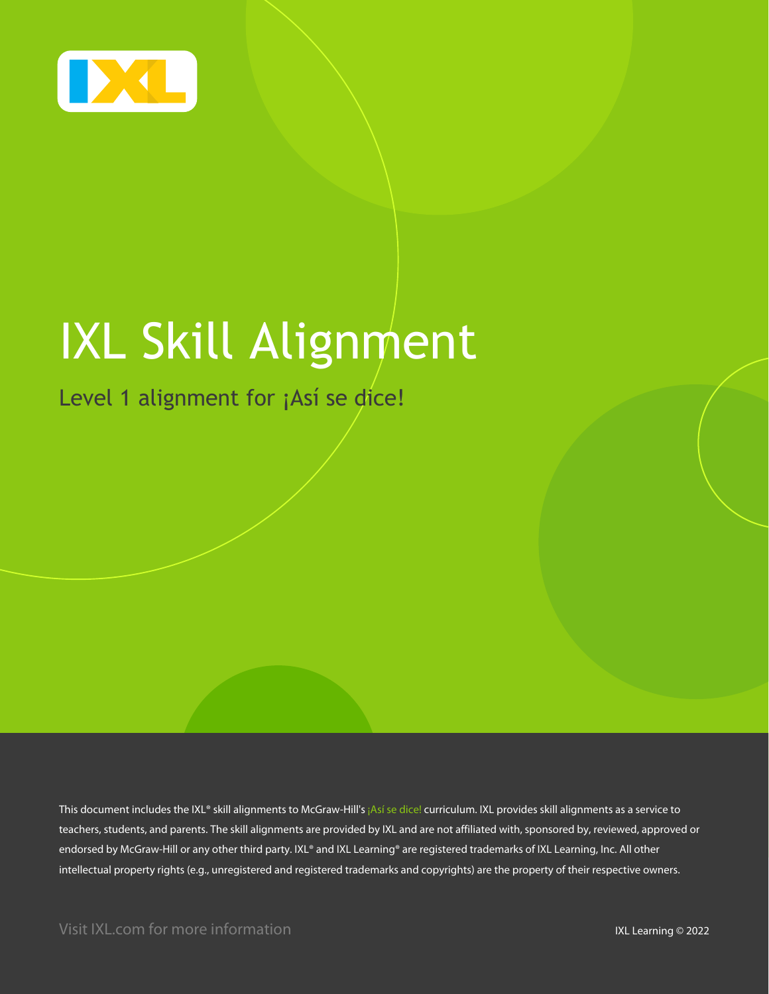

# IXL Skill Alignment

Level 1 alignment for ¡Así se dice!

This document includes the IXL® skill alignments to McGraw-Hill's ¡Así se dice! curriculum. IXL provides skill alignments as a service to teachers, students, and parents. The skill alignments are provided by IXL and are not affiliated with, sponsored by, reviewed, approved or endorsed by McGraw-Hill or any other third party. IXL® and IXL Learning® are registered trademarks of IXL Learning, Inc. All other intellectual property rights (e.g., unregistered and registered trademarks and copyrights) are the property of their respective owners.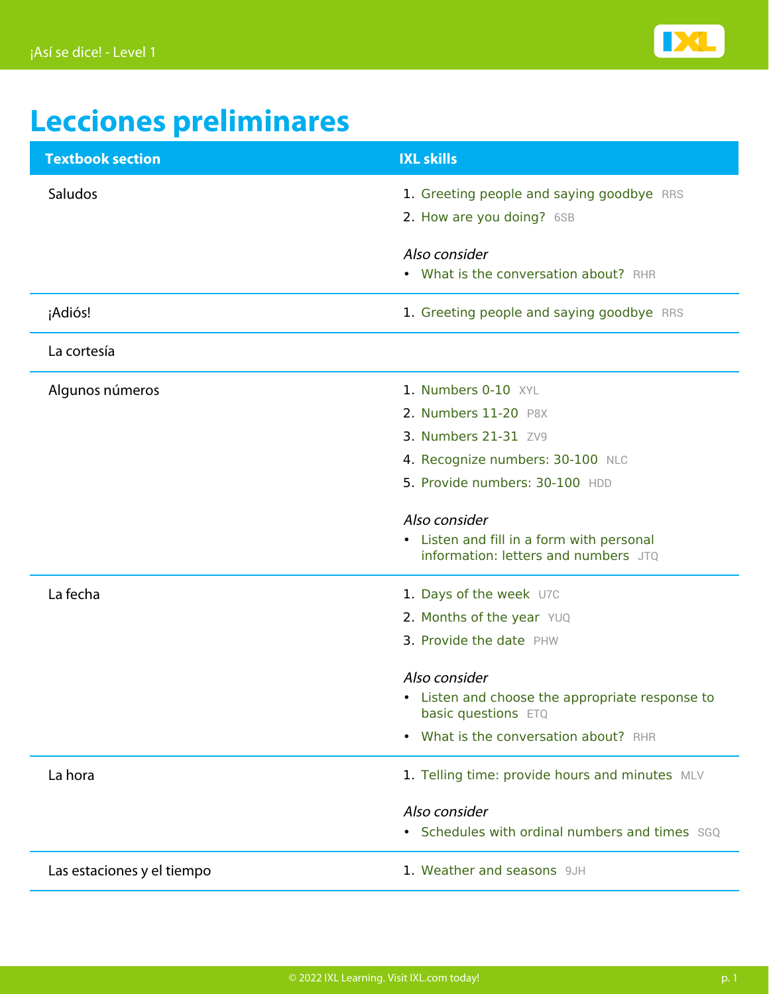

## **Lecciones preliminares**

| <b>Textbook section</b>    | <b>IXL skills</b>                                                                 |
|----------------------------|-----------------------------------------------------------------------------------|
| Saludos                    | 1. Greeting people and saying goodbye RRS                                         |
|                            | 2. How are you doing? 6SB                                                         |
|                            | Also consider                                                                     |
|                            | • What is the conversation about? RHR                                             |
| ¡Adiós!                    | 1. Greeting people and saying goodbye RRS                                         |
| La cortesía                |                                                                                   |
| Algunos números            | 1. Numbers 0-10 XYL                                                               |
|                            | 2. Numbers 11-20 P8X                                                              |
|                            | 3. Numbers 21-31 ZV9                                                              |
|                            | 4. Recognize numbers: 30-100 NLC                                                  |
|                            | 5. Provide numbers: 30-100 HDD                                                    |
|                            | Also consider                                                                     |
|                            | • Listen and fill in a form with personal<br>information: letters and numbers JTQ |
| La fecha                   | 1. Days of the week U7C                                                           |
|                            | 2. Months of the year YUQ                                                         |
|                            | 3. Provide the date PHW                                                           |
|                            | Also consider                                                                     |
|                            | • Listen and choose the appropriate response to<br>basic questions ETQ            |
|                            | What is the conversation about? RHR<br>$\bullet$                                  |
| La hora                    | 1. Telling time: provide hours and minutes MLV                                    |
|                            | Also consider                                                                     |
|                            | • Schedules with ordinal numbers and times SGQ                                    |
| Las estaciones y el tiempo | 1. Weather and seasons 9JH                                                        |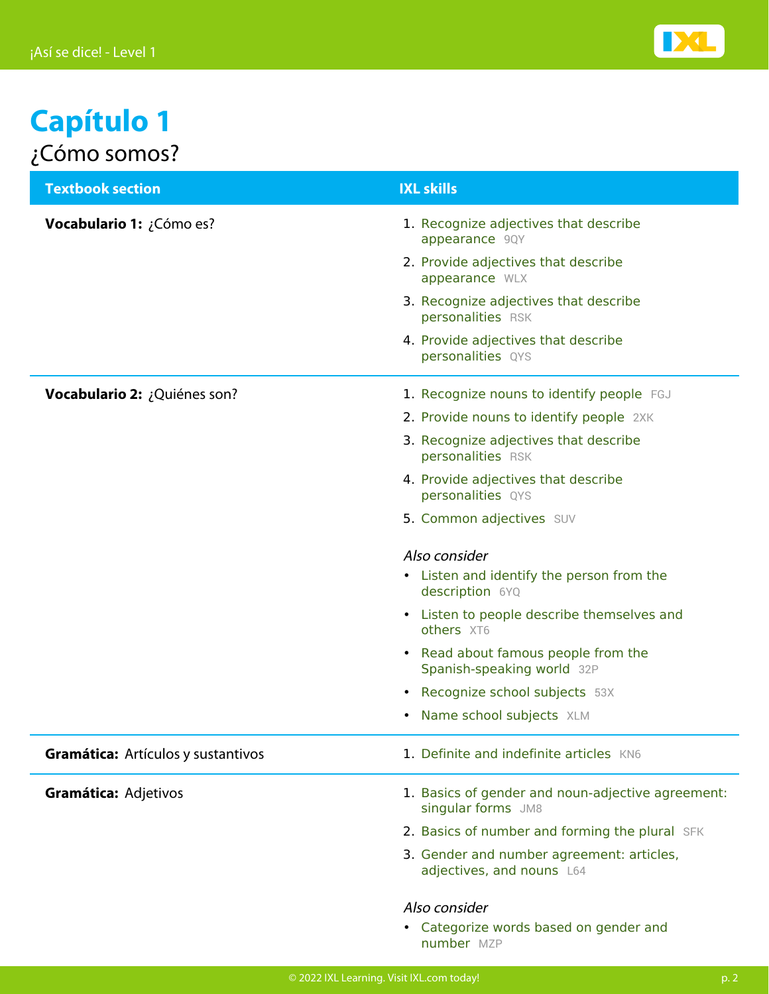

#### **Capítulo 1** ¿Cómo somos?

| <b>Textbook section</b>            | <b>IXL skills</b>                                                       |
|------------------------------------|-------------------------------------------------------------------------|
| Vocabulario 1: ¿Cómo es?           | 1. Recognize adjectives that describe<br>appearance 9QY                 |
|                                    | 2. Provide adjectives that describe<br>appearance WLX                   |
|                                    | 3. Recognize adjectives that describe<br>personalities RSK              |
|                                    | 4. Provide adjectives that describe<br>personalities QYS                |
| Vocabulario 2: ¿Quiénes son?       | 1. Recognize nouns to identify people FGJ                               |
|                                    | 2. Provide nouns to identify people 2XK                                 |
|                                    | 3. Recognize adjectives that describe<br>personalities RSK              |
|                                    | 4. Provide adjectives that describe<br>personalities QYS                |
|                                    | 5. Common adjectives SUV                                                |
|                                    | Also consider                                                           |
|                                    | • Listen and identify the person from the<br>description 6YQ            |
|                                    | • Listen to people describe themselves and<br>others XT6                |
|                                    | • Read about famous people from the<br>Spanish-speaking world 32P       |
|                                    | Recognize school subjects 53X<br>$\bullet$                              |
|                                    | Name school subjects XLM                                                |
| Gramática: Artículos y sustantivos | 1. Definite and indefinite articles KN6                                 |
| Gramática: Adjetivos               | 1. Basics of gender and noun-adjective agreement:<br>singular forms JM8 |
|                                    | 2. Basics of number and forming the plural SFK                          |
|                                    | 3. Gender and number agreement: articles,<br>adjectives, and nouns L64  |
|                                    | Also consider                                                           |
|                                    | • Categorize words based on gender and<br>number MZP                    |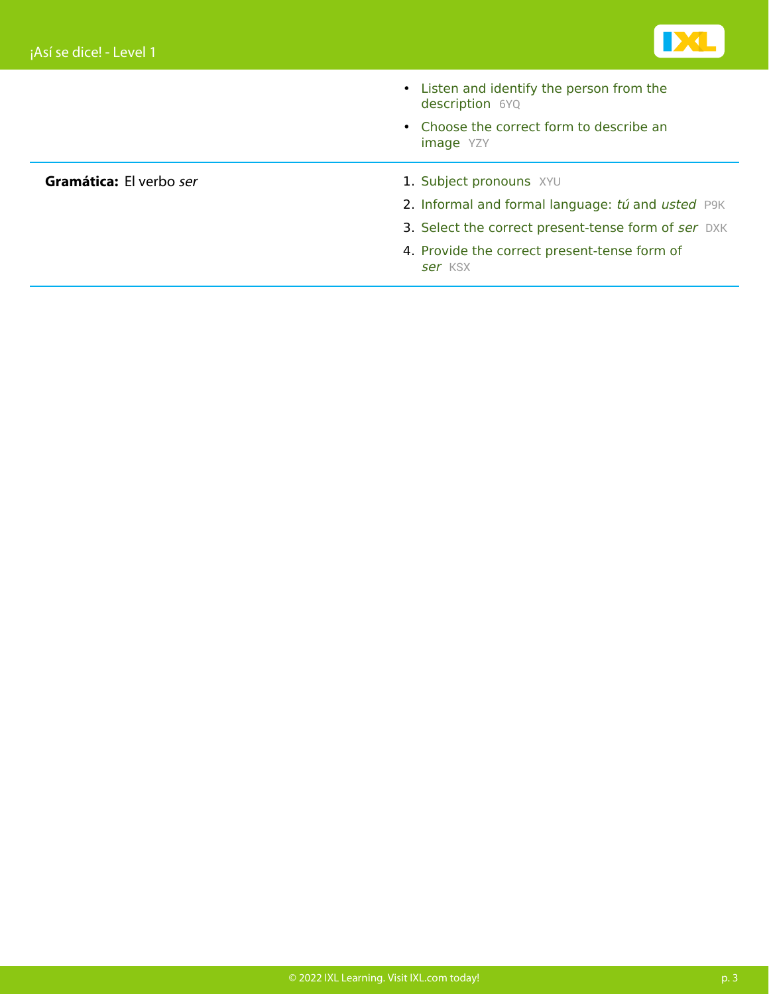

- [Listen and identify the person from the](https://www.ixl.com/spanish/level-1/listen-and-identify-the-person-from-the-description) [description](https://www.ixl.com/spanish/level-1/listen-and-identify-the-person-from-the-description) [6YQ](https://www.ixl.com/spanish/level-1/listen-and-identify-the-person-from-the-description)
- [Choose the correct form to describe an](https://www.ixl.com/spanish/level-1/choose-the-correct-form-to-describe-an-image) [image](https://www.ixl.com/spanish/level-1/choose-the-correct-form-to-describe-an-image) [YZY](https://www.ixl.com/spanish/level-1/choose-the-correct-form-to-describe-an-image)

- **Gramática:** El verbo ser 1. [Subject pronouns](https://www.ixl.com/spanish/level-1/subject-pronouns) [XYU](https://www.ixl.com/spanish/level-1/subject-pronouns)
	- 2. [Informal and formal language:](https://www.ixl.com/spanish/level-1/informal-and-formal-language-tu-and-usted) [tú](https://www.ixl.com/spanish/level-1/informal-and-formal-language-tu-and-usted) [and](https://www.ixl.com/spanish/level-1/informal-and-formal-language-tu-and-usted) [usted](https://www.ixl.com/spanish/level-1/informal-and-formal-language-tu-and-usted) [P9K](https://www.ixl.com/spanish/level-1/informal-and-formal-language-tu-and-usted)
	- 3. Select the correct present-tense form of [ser](https://www.ixl.com/spanish/level-1/select-the-correct-present-tense-form-of-ser) [DXK](https://www.ixl.com/spanish/level-1/select-the-correct-present-tense-form-of-ser)
	- 4. Provide the correct present-tense form of [ser](https://www.ixl.com/spanish/level-1/provide-the-correct-present-tense-form-of-ser) [KSX](https://www.ixl.com/spanish/level-1/provide-the-correct-present-tense-form-of-ser)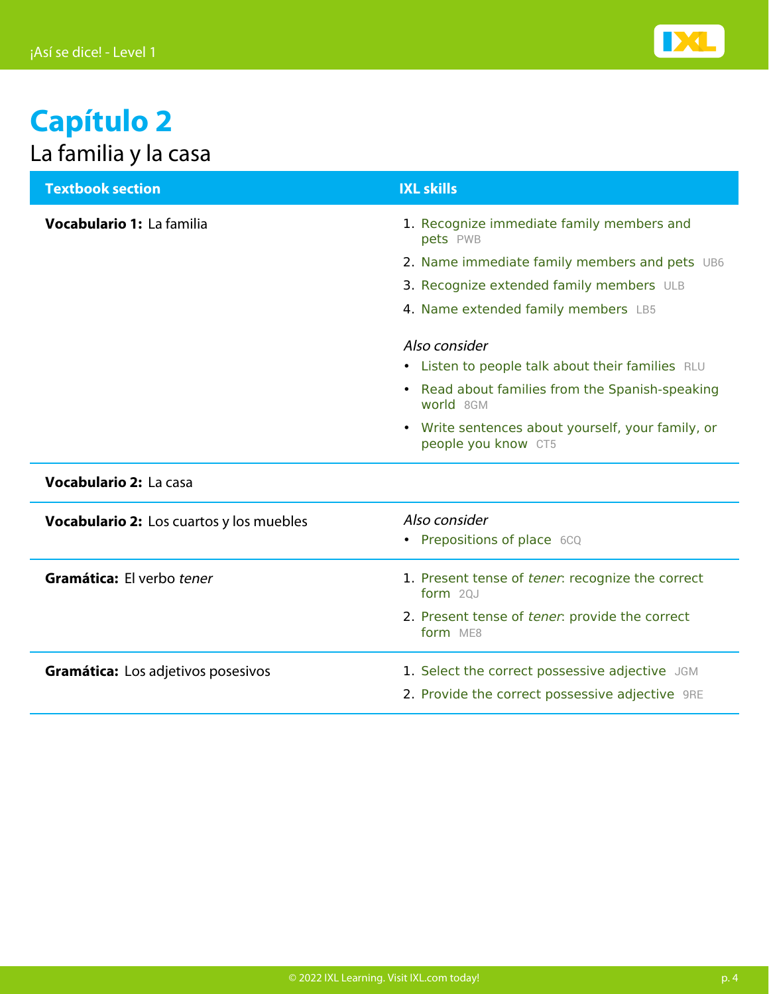

### **Capítulo 2** La familia y la casa

| <b>Textbook section</b>                  | <b>IXL skills</b>                                                        |
|------------------------------------------|--------------------------------------------------------------------------|
| Vocabulario 1: La familia                | 1. Recognize immediate family members and<br>pets PWB                    |
|                                          | 2. Name immediate family members and pets UB6                            |
|                                          | 3. Recognize extended family members ULB                                 |
|                                          | 4. Name extended family members LB5                                      |
|                                          | Also consider                                                            |
|                                          | • Listen to people talk about their families RLU                         |
|                                          | • Read about families from the Spanish-speaking<br>world 8GM             |
|                                          | • Write sentences about yourself, your family, or<br>people you know CT5 |
| <b>Vocabulario 2: La casa</b>            |                                                                          |
| Vocabulario 2: Los cuartos y los muebles | Also consider                                                            |
|                                          | • Prepositions of place 6CQ                                              |
| Gramática: El verbo tener                | 1. Present tense of tener: recognize the correct<br>form $20J$           |
|                                          | 2. Present tense of tener: provide the correct<br>form ME8               |
| Gramática: Los adjetivos posesivos       | 1. Select the correct possessive adjective JGM                           |
|                                          | 2. Provide the correct possessive adjective 9RE                          |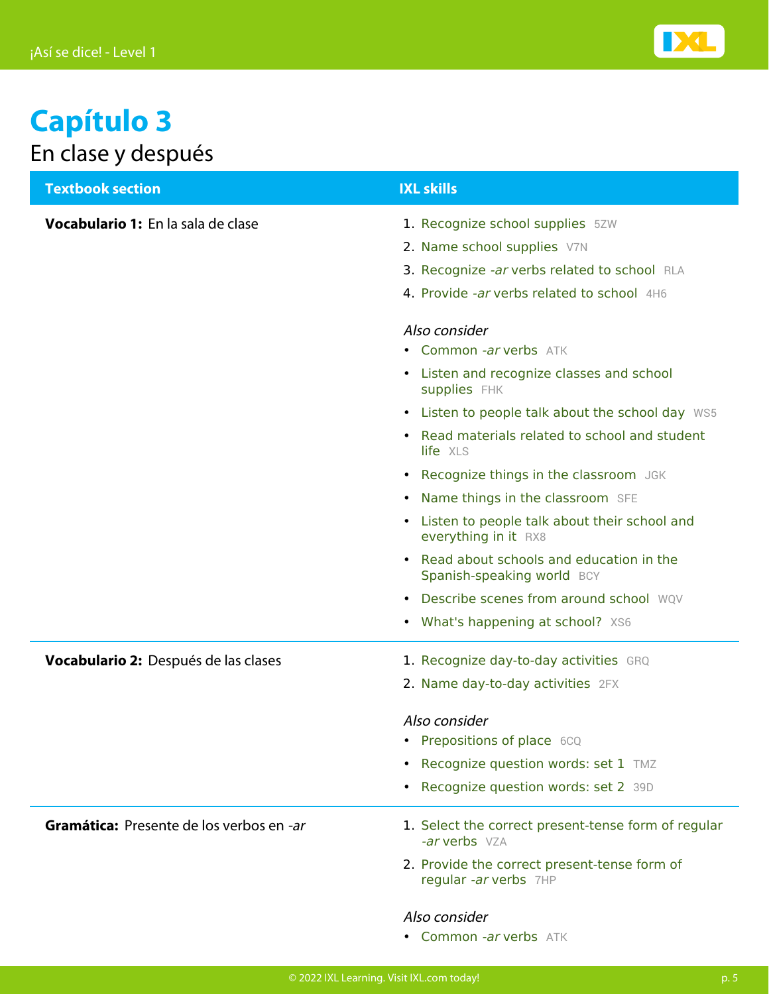

### **Capítulo 3** En clase y después

| <b>Textbook section</b>                  | <b>IXL skills</b>                                                       |
|------------------------------------------|-------------------------------------------------------------------------|
| Vocabulario 1: En la sala de clase       | 1. Recognize school supplies 5ZW                                        |
|                                          | 2. Name school supplies V7N                                             |
|                                          | 3. Recognize -ar verbs related to school RLA                            |
|                                          | 4. Provide -ar verbs related to school 4H6                              |
|                                          | Also consider                                                           |
|                                          | • Common -ar verbs ATK                                                  |
|                                          | • Listen and recognize classes and school<br><b>supplies</b> FHK        |
|                                          | • Listen to people talk about the school day WS5                        |
|                                          | • Read materials related to school and student<br>life XLS              |
|                                          | • Recognize things in the classroom JGK                                 |
|                                          | • Name things in the classroom SFE                                      |
|                                          | Listen to people talk about their school and<br>everything in it RX8    |
|                                          | • Read about schools and education in the<br>Spanish-speaking world BCY |
|                                          | • Describe scenes from around school WQV                                |
|                                          | • What's happening at school? XS6                                       |
| Vocabulario 2: Después de las clases     | 1. Recognize day-to-day activities GRQ                                  |
|                                          | 2. Name day-to-day activities 2FX                                       |
|                                          | Also consider                                                           |
|                                          | • Prepositions of place 6CQ                                             |
|                                          | • Recognize question words: set 1 TMZ                                   |
|                                          | • Recognize question words: set 2 39D                                   |
| Gramática: Presente de los verbos en -ar | 1. Select the correct present-tense form of regular<br>-ar verbs VZA    |
|                                          | 2. Provide the correct present-tense form of<br>regular -ar verbs 7HP   |
|                                          | Also consider                                                           |

• [Common](https://www.ixl.com/spanish/level-1/common-ar-verbs) -ar [verbs](https://www.ixl.com/spanish/level-1/common-ar-verbs) [ATK](https://www.ixl.com/spanish/level-1/common-ar-verbs)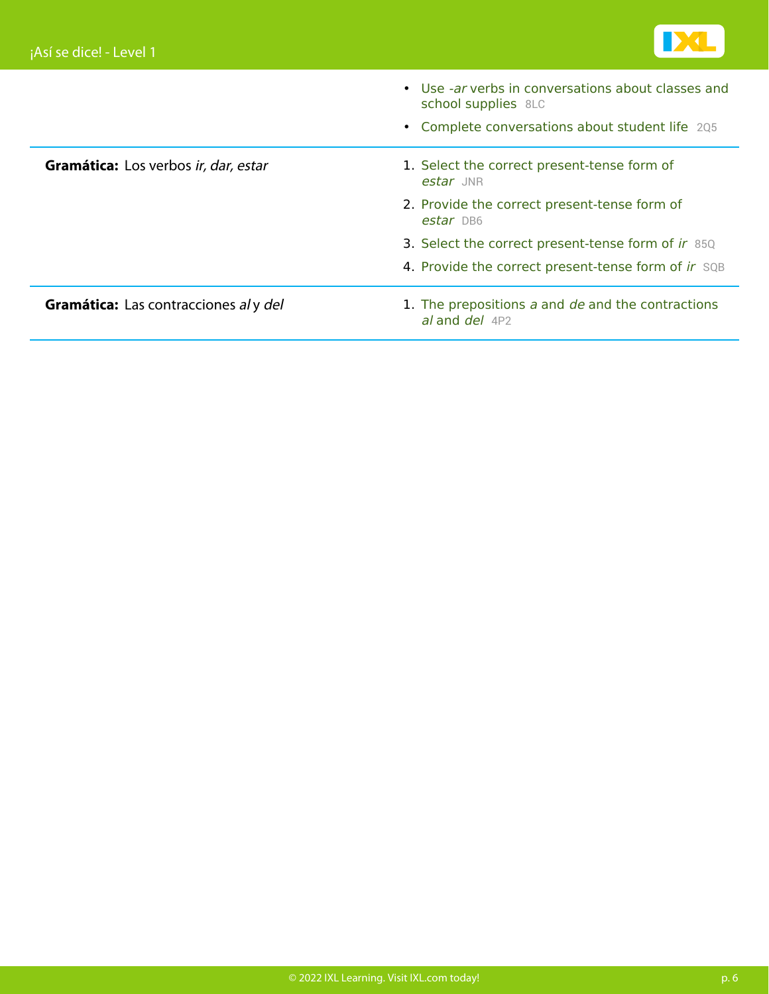

|                                              | • Use -ar verbs in conversations about classes and<br>school supplies 8LC |
|----------------------------------------------|---------------------------------------------------------------------------|
|                                              | • Complete conversations about student life 205                           |
| Gramática: Los verbos ir, dar, estar         | 1. Select the correct present-tense form of<br>estar JNR                  |
|                                              | 2. Provide the correct present-tense form of<br>estar DB6                 |
|                                              | 3. Select the correct present-tense form of ir 85Q                        |
|                                              | 4. Provide the correct present-tense form of ir SQB                       |
| <b>Gramática:</b> Las contracciones al y del | 1. The prepositions a and de and the contractions<br>al and $del$ 4P2     |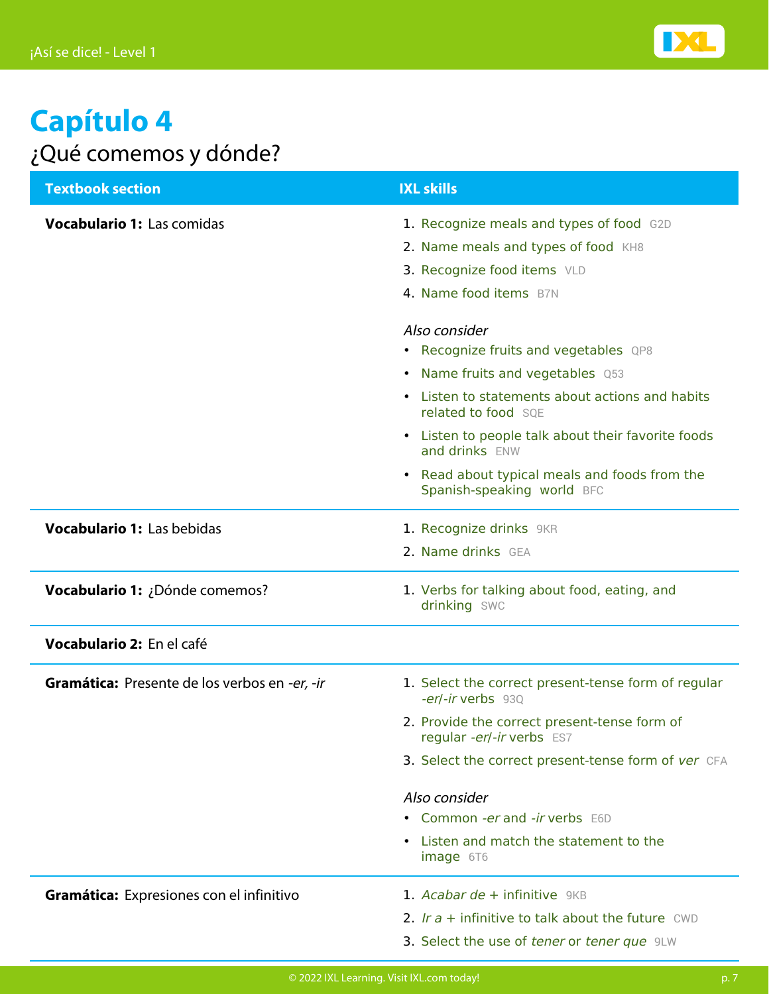

#### **Capítulo 4** ¿Qué comemos y dónde?

| <b>Textbook section</b>                       | <b>IXL skills</b>                                                                                                                                                          |
|-----------------------------------------------|----------------------------------------------------------------------------------------------------------------------------------------------------------------------------|
| Vocabulario 1: Las comidas                    | 1. Recognize meals and types of food G2D<br>2. Name meals and types of food KH8<br>3. Recognize food items VLD<br>4. Name food items B7N                                   |
|                                               | Also consider<br>• Recognize fruits and vegetables QP8<br>• Name fruits and vegetables Q53<br>• Listen to statements about actions and habits                              |
|                                               | related to food SOE<br>• Listen to people talk about their favorite foods<br>and drinks ENW<br>• Read about typical meals and foods from the<br>Spanish-speaking world BFC |
| <b>Vocabulario 1: Las bebidas</b>             | 1. Recognize drinks 9KR<br>2. Name drinks GEA                                                                                                                              |
| Vocabulario 1: ¿Dónde comemos?                | 1. Verbs for talking about food, eating, and<br>drinking SWC                                                                                                               |
| Vocabulario 2: En el café                     |                                                                                                                                                                            |
| Gramática: Presente de los verbos en -er, -ir | 1. Select the correct present-tense form of regular<br>-er/-ir verbs 93Q<br>2. Provide the correct present-tense form of                                                   |
|                                               | regular -er/-ir verbs ES7<br>3. Select the correct present-tense form of ver CFA                                                                                           |
|                                               | Also consider<br>• Common -er and -ir verbs E6D<br>• Listen and match the statement to the<br>image 6T6                                                                    |
| Gramática: Expresiones con el infinitivo      | 1. Acabar de + infinitive 9KB<br>2. Ir $a$ + infinitive to talk about the future CWD<br>3. Select the use of tener or tener que 9LW                                        |